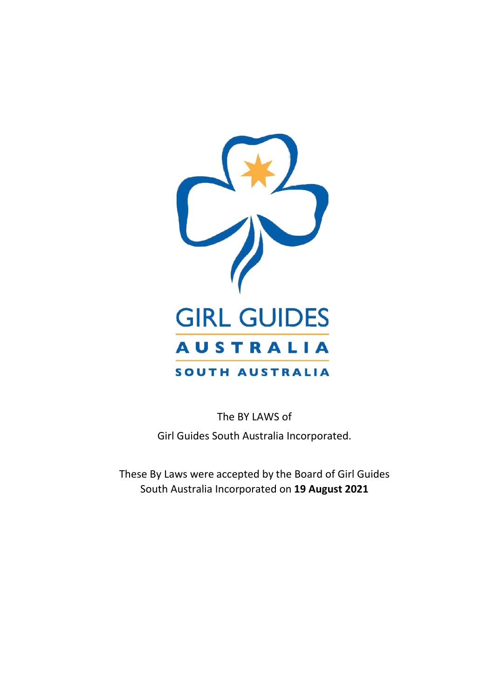

The BY LAWS of Girl Guides South Australia Incorporated.

These By Laws were accepted by the Board of Girl Guides South Australia Incorporated on **19 August 2021**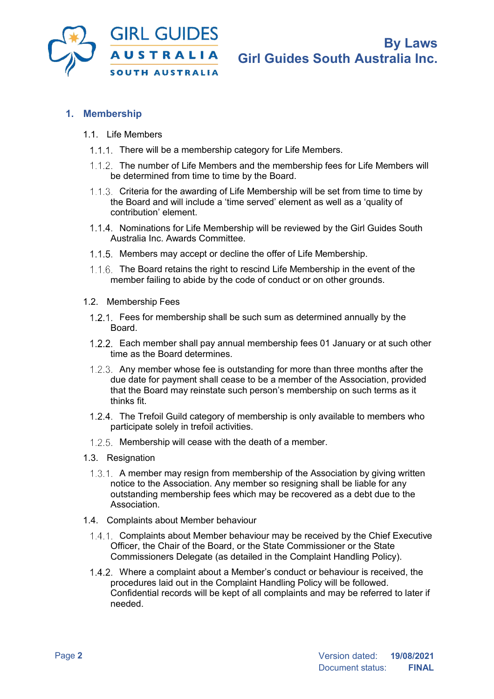

## **1. Membership**

- 1.1 Life Members
	- 1.1.1. There will be a membership category for Life Members.
	- 1.1.2. The number of Life Members and the membership fees for Life Members will be determined from time to time by the Board.
	- 1.1.3. Criteria for the awarding of Life Membership will be set from time to time by the Board and will include a 'time served' element as well as a 'quality of contribution' element.
	- 1.1.4. Nominations for Life Membership will be reviewed by the Girl Guides South Australia Inc. Awards Committee.
	- 1.1.5. Members may accept or decline the offer of Life Membership.
	- 1.1.6. The Board retains the right to rescind Life Membership in the event of the member failing to abide by the code of conduct or on other grounds.
- 1.2. Membership Fees
- 1.2.1. Fees for membership shall be such sum as determined annually by the Board.
- Each member shall pay annual membership fees 01 January or at such other time as the Board determines.
- 1.2.3. Any member whose fee is outstanding for more than three months after the due date for payment shall cease to be a member of the Association, provided that the Board may reinstate such person's membership on such terms as it thinks fit.
- The Trefoil Guild category of membership is only available to members who participate solely in trefoil activities.
- 1.2.5. Membership will cease with the death of a member.
- 1.3. Resignation
	- $1.3.1$ . A member may resign from membership of the Association by giving written notice to the Association. Any member so resigning shall be liable for any outstanding membership fees which may be recovered as a debt due to the Association.
- 1.4. Complaints about Member behaviour
	- 1.4.1. Complaints about Member behaviour may be received by the Chief Executive Officer, the Chair of the Board, or the State Commissioner or the State Commissioners Delegate (as detailed in the Complaint Handling Policy).
	- Where a complaint about a Member's conduct or behaviour is received, the procedures laid out in the Complaint Handling Policy will be followed. Confidential records will be kept of all complaints and may be referred to later if needed.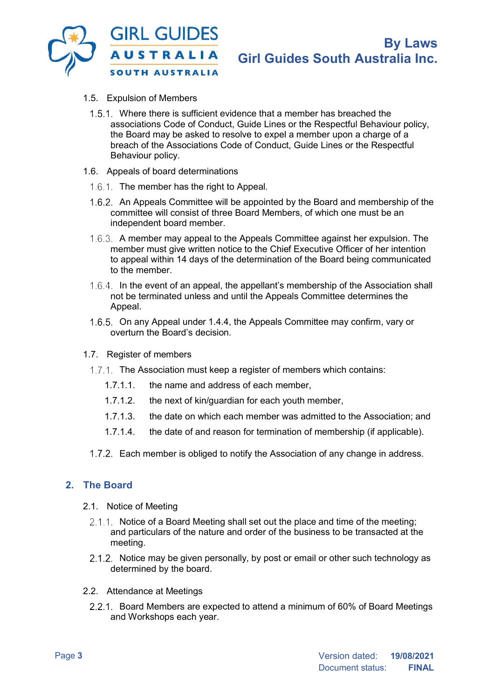![](_page_2_Picture_0.jpeg)

- 1.5. Expulsion of Members
	- 1.5.1. Where there is sufficient evidence that a member has breached the associations Code of Conduct, Guide Lines or the Respectful Behaviour policy, the Board may be asked to resolve to expel a member upon a charge of a breach of the Associations Code of Conduct, Guide Lines or the Respectful Behaviour policy.
- 1.6. Appeals of board determinations
	- 1.6.1. The member has the right to Appeal.
	- 1.6.2. An Appeals Committee will be appointed by the Board and membership of the committee will consist of three Board Members, of which one must be an independent board member.
	- A member may appeal to the Appeals Committee against her expulsion. The member must give written notice to the Chief Executive Officer of her intention to appeal within 14 days of the determination of the Board being communicated to the member.
	- 1.6.4. In the event of an appeal, the appellant's membership of the Association shall not be terminated unless and until the Appeals Committee determines the Appeal.
	- 1.6.5. On any Appeal under 1.4.4, the Appeals Committee may confirm, vary or overturn the Board's decision.
- 1.7. Register of members
	- 1.7.1. The Association must keep a register of members which contains:
		- 1.7.1.1. the name and address of each member,
		- 1.7.1.2. the next of kin/guardian for each youth member,
		- 1.7.1.3. the date on which each member was admitted to the Association; and
		- 1.7.1.4. the date of and reason for termination of membership (if applicable).
	- 1.7.2. Each member is obliged to notify the Association of any change in address.

#### **2. The Board**

- 2.1. Notice of Meeting
	- 2.1.1. Notice of a Board Meeting shall set out the place and time of the meeting; and particulars of the nature and order of the business to be transacted at the meeting.
	- 2.1.2. Notice may be given personally, by post or email or other such technology as determined by the board.
- 2.2. Attendance at Meetings
	- 2.2.1. Board Members are expected to attend a minimum of 60% of Board Meetings and Workshops each year.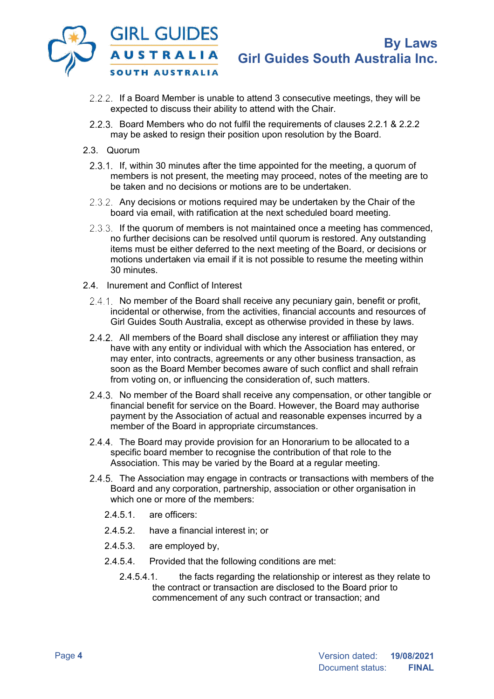![](_page_3_Picture_0.jpeg)

- 2.2.2. If a Board Member is unable to attend 3 consecutive meetings, they will be expected to discuss their ability to attend with the Chair.
- Board Members who do not fulfil the requirements of clauses 2.2.1 & 2.2.2 may be asked to resign their position upon resolution by the Board.
- 2.3. Quorum
	- 2.3.1. If, within 30 minutes after the time appointed for the meeting, a quorum of members is not present, the meeting may proceed, notes of the meeting are to be taken and no decisions or motions are to be undertaken.
	- 2.3.2. Any decisions or motions required may be undertaken by the Chair of the board via email, with ratification at the next scheduled board meeting.
	- 2.3.3. If the quorum of members is not maintained once a meeting has commenced, no further decisions can be resolved until quorum is restored. Any outstanding items must be either deferred to the next meeting of the Board, or decisions or motions undertaken via email if it is not possible to resume the meeting within 30 minutes.
- 2.4. Inurement and Conflict of Interest
	- 2.4.1. No member of the Board shall receive any pecuniary gain, benefit or profit, incidental or otherwise, from the activities, financial accounts and resources of Girl Guides South Australia, except as otherwise provided in these by laws.
	- 2.4.2. All members of the Board shall disclose any interest or affiliation they may have with any entity or individual with which the Association has entered, or may enter, into contracts, agreements or any other business transaction, as soon as the Board Member becomes aware of such conflict and shall refrain from voting on, or influencing the consideration of, such matters.
	- 2.4.3. No member of the Board shall receive any compensation, or other tangible or financial benefit for service on the Board. However, the Board may authorise payment by the Association of actual and reasonable expenses incurred by a member of the Board in appropriate circumstances.
	- 2.4.4. The Board may provide provision for an Honorarium to be allocated to a specific board member to recognise the contribution of that role to the Association. This may be varied by the Board at a regular meeting.
	- 2.4.5. The Association may engage in contracts or transactions with members of the Board and any corporation, partnership, association or other organisation in which one or more of the members:
		- 2.4.5.1 are officers:
		- 2.4.5.2. have a financial interest in; or
		- 2.4.5.3. are employed by,
		- 2.4.5.4. Provided that the following conditions are met:
			- 2.4.5.4.1. the facts regarding the relationship or interest as they relate to the contract or transaction are disclosed to the Board prior to commencement of any such contract or transaction; and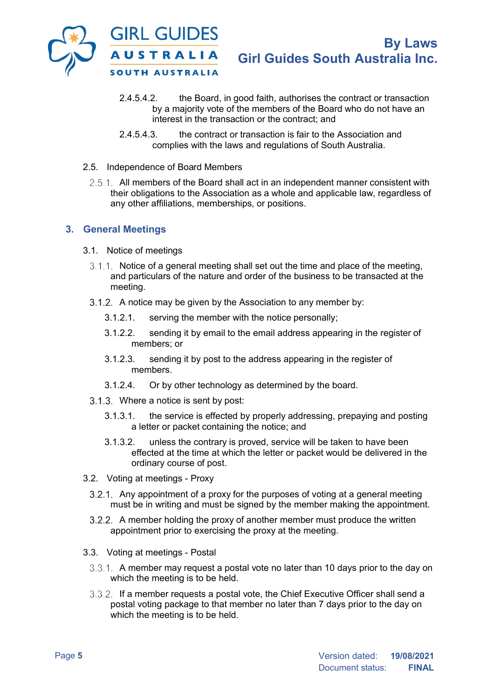![](_page_4_Picture_0.jpeg)

- 2.4.5.4.2. the Board, in good faith, authorises the contract or transaction by a majority vote of the members of the Board who do not have an interest in the transaction or the contract; and
- 2.4.5.4.3. the contract or transaction is fair to the Association and complies with the laws and regulations of South Australia.
- 2.5. Independence of Board Members
	- 2.5.1. All members of the Board shall act in an independent manner consistent with their obligations to the Association as a whole and applicable law, regardless of any other affiliations, memberships, or positions.

### **3. General Meetings**

- 3.1. Notice of meetings
	- $3.1.1$ . Notice of a general meeting shall set out the time and place of the meeting, and particulars of the nature and order of the business to be transacted at the meeting.
	- 3.1.2. A notice may be given by the Association to any member by:
		- 3.1.2.1. serving the member with the notice personally;
		- 3.1.2.2. sending it by email to the email address appearing in the register of members; or
		- 3.1.2.3. sending it by post to the address appearing in the register of members.
		- 3.1.2.4. Or by other technology as determined by the board.
	- Where a notice is sent by post:
		- 3.1.3.1. the service is effected by properly addressing, prepaying and posting a letter or packet containing the notice; and
		- 3.1.3.2. unless the contrary is proved, service will be taken to have been effected at the time at which the letter or packet would be delivered in the ordinary course of post.
- 3.2. Voting at meetings Proxy
	- 3.2.1. Any appointment of a proxy for the purposes of voting at a general meeting must be in writing and must be signed by the member making the appointment.
	- A member holding the proxy of another member must produce the written appointment prior to exercising the proxy at the meeting.
- 3.3. Voting at meetings Postal
	- $3.3.1$ . A member may request a postal vote no later than 10 days prior to the day on which the meeting is to be held.
	- 3.3.2. If a member requests a postal vote, the Chief Executive Officer shall send a postal voting package to that member no later than 7 days prior to the day on which the meeting is to be held.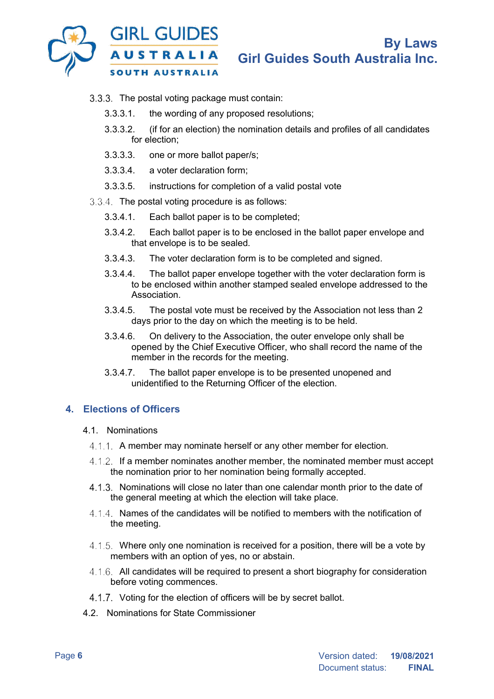![](_page_5_Picture_0.jpeg)

- 3.3.3. The postal voting package must contain:
	- 3.3.3.1. the wording of any proposed resolutions;
	- 3.3.3.2. (if for an election) the nomination details and profiles of all candidates for election;
	- 3.3.3.3. one or more ballot paper/s;
	- 3.3.3.4. a voter declaration form;
	- 3.3.3.5. instructions for completion of a valid postal vote
- 3.3.4 The postal voting procedure is as follows:
	- 3.3.4.1. Each ballot paper is to be completed;
	- 3.3.4.2. Each ballot paper is to be enclosed in the ballot paper envelope and that envelope is to be sealed.
	- 3.3.4.3. The voter declaration form is to be completed and signed.
	- 3.3.4.4. The ballot paper envelope together with the voter declaration form is to be enclosed within another stamped sealed envelope addressed to the Association.
	- 3.3.4.5. The postal vote must be received by the Association not less than 2 days prior to the day on which the meeting is to be held.
	- 3.3.4.6. On delivery to the Association, the outer envelope only shall be opened by the Chief Executive Officer, who shall record the name of the member in the records for the meeting.
	- 3.3.4.7. The ballot paper envelope is to be presented unopened and unidentified to the Returning Officer of the election.

### **4. Elections of Officers**

- 4.1. Nominations
	- 4.1.1. A member may nominate herself or any other member for election.
	- If a member nominates another member, the nominated member must accept the nomination prior to her nomination being formally accepted.
	- 4.1.3. Nominations will close no later than one calendar month prior to the date of the general meeting at which the election will take place.
	- 4.1.4. Names of the candidates will be notified to members with the notification of the meeting.
	- Where only one nomination is received for a position, there will be a vote by members with an option of yes, no or abstain.
	- 4.1.6. All candidates will be required to present a short biography for consideration before voting commences.
	- 4.1.7. Voting for the election of officers will be by secret ballot.
- 4.2. Nominations for State Commissioner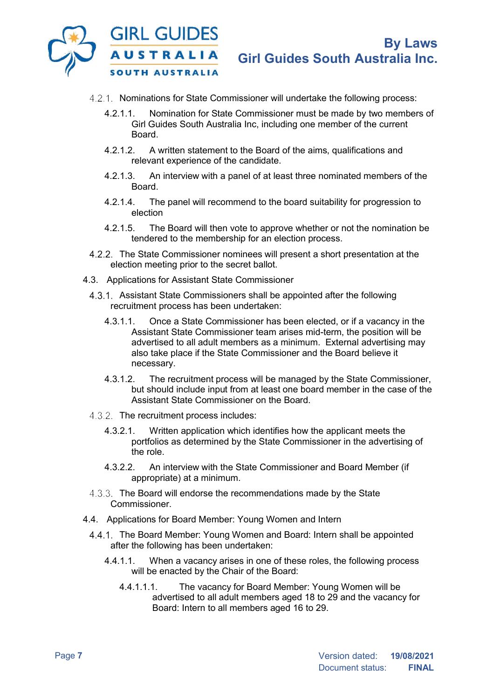![](_page_6_Picture_0.jpeg)

- 4.2.1. Nominations for State Commissioner will undertake the following process:
	- 4.2.1.1. Nomination for State Commissioner must be made by two members of Girl Guides South Australia Inc, including one member of the current Board.
	- 4.2.1.2. A written statement to the Board of the aims, qualifications and relevant experience of the candidate.
	- 4.2.1.3. An interview with a panel of at least three nominated members of the Board.
	- 4.2.1.4. The panel will recommend to the board suitability for progression to election
	- 4.2.1.5. The Board will then vote to approve whether or not the nomination be tendered to the membership for an election process.
- The State Commissioner nominees will present a short presentation at the election meeting prior to the secret ballot.
- 4.3. Applications for Assistant State Commissioner
	- 4.3.1. Assistant State Commissioners shall be appointed after the following recruitment process has been undertaken:
		- 4.3.1.1. Once a State Commissioner has been elected, or if a vacancy in the Assistant State Commissioner team arises mid-term, the position will be advertised to all adult members as a minimum. External advertising may also take place if the State Commissioner and the Board believe it necessary.
		- 4.3.1.2. The recruitment process will be managed by the State Commissioner, but should include input from at least one board member in the case of the Assistant State Commissioner on the Board.
	- 4.3.2. The recruitment process includes:
		- 4.3.2.1. Written application which identifies how the applicant meets the portfolios as determined by the State Commissioner in the advertising of the role.
		- 4.3.2.2. An interview with the State Commissioner and Board Member (if appropriate) at a minimum.
	- 4.3.3. The Board will endorse the recommendations made by the State Commissioner.
- 4.4. Applications for Board Member: Young Women and Intern
	- 4.4.1. The Board Member: Young Women and Board: Intern shall be appointed after the following has been undertaken:
		- 4.4.1.1. When a vacancy arises in one of these roles, the following process will be enacted by the Chair of the Board:
			- 4.4.1.1.1. The vacancy for Board Member: Young Women will be advertised to all adult members aged 18 to 29 and the vacancy for Board: Intern to all members aged 16 to 29.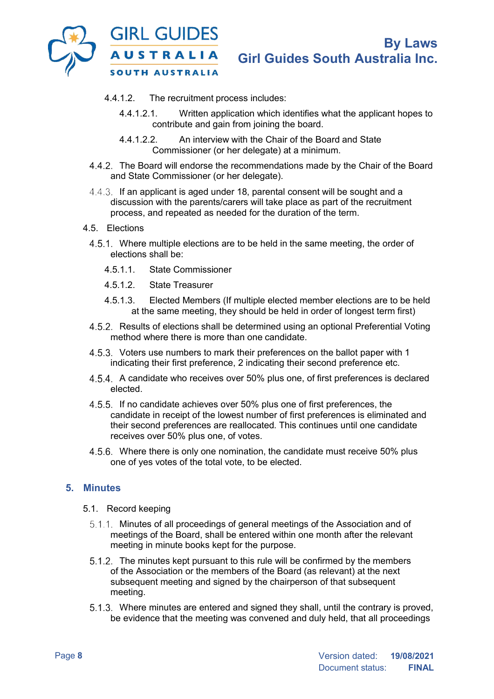![](_page_7_Picture_0.jpeg)

- 4.4.1.2. The recruitment process includes:
	- 4.4.1.2.1. Written application which identifies what the applicant hopes to contribute and gain from joining the board.
	- 4.4.1.2.2. An interview with the Chair of the Board and State Commissioner (or her delegate) at a minimum.
- The Board will endorse the recommendations made by the Chair of the Board and State Commissioner (or her delegate).
- 4.4.3. If an applicant is aged under 18, parental consent will be sought and a discussion with the parents/carers will take place as part of the recruitment process, and repeated as needed for the duration of the term.
- 4.5. Elections
	- 4.5.1. Where multiple elections are to be held in the same meeting, the order of elections shall be:
		- 4.5.1.1. State Commissioner
		- 4.5.1.2. State Treasurer
		- 4.5.1.3. Elected Members (If multiple elected member elections are to be held at the same meeting, they should be held in order of longest term first)
	- 4.5.2. Results of elections shall be determined using an optional Preferential Voting method where there is more than one candidate.
	- 4.5.3. Voters use numbers to mark their preferences on the ballot paper with 1 indicating their first preference, 2 indicating their second preference etc.
	- A candidate who receives over 50% plus one, of first preferences is declared elected.
	- 4.5.5. If no candidate achieves over 50% plus one of first preferences, the candidate in receipt of the lowest number of first preferences is eliminated and their second preferences are reallocated. This continues until one candidate receives over 50% plus one, of votes.
	- Where there is only one nomination, the candidate must receive 50% plus one of yes votes of the total vote, to be elected.

#### **5. Minutes**

- 5.1. Record keeping
	- 5.1.1. Minutes of all proceedings of general meetings of the Association and of meetings of the Board, shall be entered within one month after the relevant meeting in minute books kept for the purpose.
	- 5.1.2. The minutes kept pursuant to this rule will be confirmed by the members of the Association or the members of the Board (as relevant) at the next subsequent meeting and signed by the chairperson of that subsequent meeting.
	- Where minutes are entered and signed they shall, until the contrary is proved, be evidence that the meeting was convened and duly held, that all proceedings